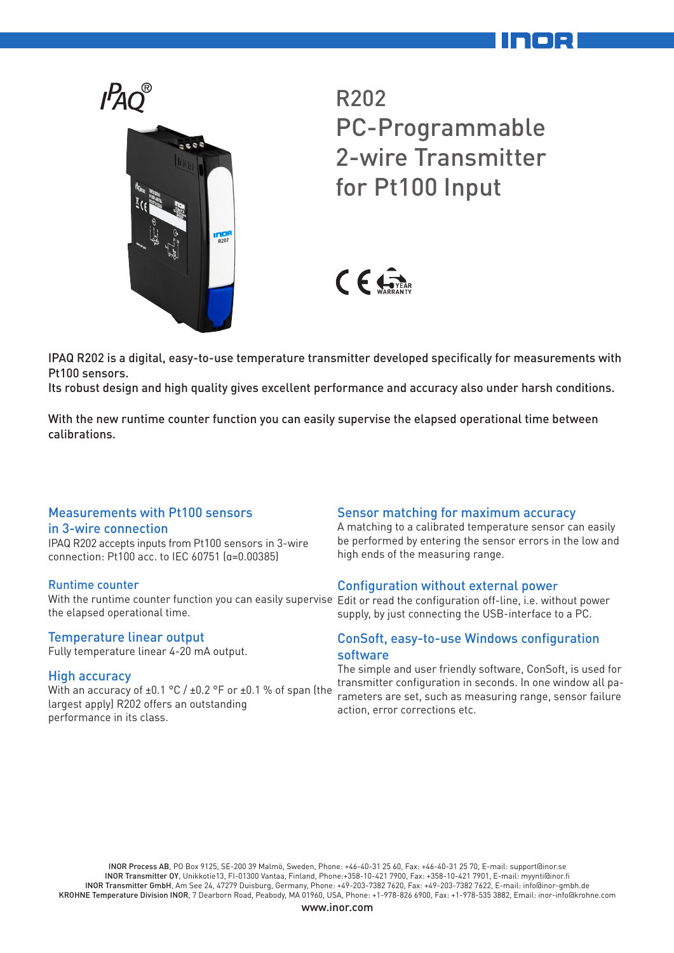

R202 PC-Programmable 2-wire Transmitter for Pt100 Input



IPAQ R202 is a digital, easy-to-use temperature transmitter developed specifically for measurements with Pt100 sensors.

Its robust design and high quality gives excellent performance and accuracy also under harsh conditions.

With the new runtime counter function you can easily supervise the elapsed operational time between calibrations.

## Measurements with Pt100 sensors

### in 3-wire connection

IPAQ R202 accepts inputs from Pt100 sensors in 3-wire connection: Pt100 acc. to IEC 60751 (α=0.00385)

## Runtime counter

With the runtime counter function you can easily supervise Edit or read the configuration off-line, i.e. without power the elapsed operational time.

## Temperature linear output

Fully temperature linear 4-20 mA output.

## High accuracy

With an accuracy of ±0.1 °C / ±0.2 °F or ±0.1 % of span (the largest apply) R202 offers an outstanding performance in its class.

## Sensor matching for maximum accuracy

A matching to a calibrated temperature sensor can easily be performed by entering the sensor errors in the low and high ends of the measuring range.

## Configuration without external power

supply, by just connecting the USB-interface to a PC.

## ConSoft, easy-to-use Windows configuration software

The simple and user friendly software, ConSoft, is used for transmitter configuration in seconds. In one window all parameters are set, such as measuring range, sensor failure action, error corrections etc.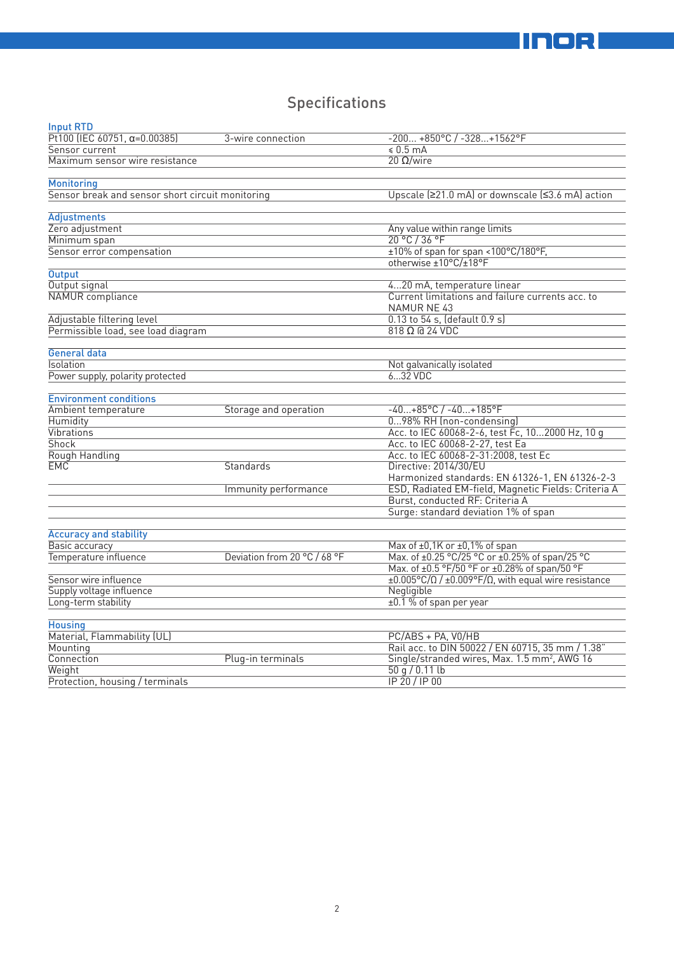# Specifications

| <b>Input RTD</b>                                 |                              |                                                                                                |
|--------------------------------------------------|------------------------------|------------------------------------------------------------------------------------------------|
| Pt100 (IEC 60751, $\alpha = 0.00385$ )           | 3-wire connection            | $-200 +850$ °C / $-328+1562$ °F                                                                |
| Sensor current                                   |                              | $$0.5 \text{ mA}$                                                                              |
| Maximum sensor wire resistance                   |                              | $20 \Omega/wire$                                                                               |
|                                                  |                              |                                                                                                |
| <b>Monitoring</b>                                |                              |                                                                                                |
| Sensor break and sensor short circuit monitoring |                              | Upscale (≥21.0 mA) or downscale (≤3.6 mA) action                                               |
|                                                  |                              |                                                                                                |
| <b>Adjustments</b>                               |                              |                                                                                                |
| Zero adjustment                                  |                              | Any value within range limits                                                                  |
| Minimum span                                     |                              | $20^{\circ}$ C / 36 °F                                                                         |
| Sensor error compensation                        |                              | ±10% of span for span <100°C/180°F,                                                            |
|                                                  |                              | otherwise ±10°C/±18°F                                                                          |
| <b>Output</b>                                    |                              |                                                                                                |
| Output signal                                    |                              | 420 mA, temperature linear                                                                     |
| NAMUR compliance                                 |                              | Current limitations and failure currents acc. to<br><b>NAMUR NE 43</b>                         |
| Adjustable filtering level                       |                              | 0.13 to 54 s, (default 0.9 s)                                                                  |
| Permissible load, see load diagram               |                              | $818 \Omega$ @ 24 VDC                                                                          |
|                                                  |                              |                                                                                                |
| General data                                     |                              |                                                                                                |
| Isolation                                        |                              | Not galvanically isolated                                                                      |
| Power supply, polarity protected                 |                              | 632 VDC                                                                                        |
| <b>Environment conditions</b>                    |                              |                                                                                                |
| Ambient temperature                              | Storage and operation        | $-40+85°C$ / $-40+185°F$                                                                       |
| <b>Humidity</b>                                  |                              | 098% RH (non-condensing)                                                                       |
| Vibrations                                       |                              | Acc. to IEC 60068-2-6, test Fc, 102000 Hz, 10 g                                                |
| <b>Shock</b>                                     |                              | Acc. to IEC 60068-2-27, test Ea                                                                |
| Rough Handling                                   |                              | Acc. to IEC 60068-2-31:2008, test Ec                                                           |
| <b>EMC</b>                                       | Standards                    | Directive: 2014/30/EU                                                                          |
|                                                  |                              | Harmonized standards: EN 61326-1, EN 61326-2-3                                                 |
|                                                  | Immunity performance         | ESD, Radiated EM-field, Magnetic Fields: Criteria A                                            |
|                                                  |                              | Burst, conducted RF: Criteria A                                                                |
|                                                  |                              | Surge: standard deviation 1% of span                                                           |
|                                                  |                              |                                                                                                |
| <b>Accuracy and stability</b>                    |                              |                                                                                                |
| Basic accuracy                                   |                              | Max of ±0,1K or ±0,1% of span                                                                  |
| Temperature influence                            | Deviation from 20 °C / 68 °F | Max. of ±0.25 °C/25 °C or ±0.25% of span/25 °C                                                 |
|                                                  |                              | Max. of ±0.5 °F/50 °F or ±0.28% of span/50 °F                                                  |
| Sensor wire influence                            |                              | $\pm 0.005^{\circ}$ C/ $\Omega$ / $\pm 0.009^{\circ}$ F/ $\Omega$ , with equal wire resistance |
| Supply voltage influence                         |                              | Negligible                                                                                     |
| Long-term stability                              |                              | ±0.1 % of span per year                                                                        |
|                                                  |                              |                                                                                                |
| <b>Housing</b>                                   |                              |                                                                                                |
| Material, Flammability (UL)                      |                              | PC/ABS + PA, V0/HB                                                                             |
| Mounting                                         |                              | Rail acc. to DIN 50022 / EN 60715, 35 mm / 1.38"                                               |
| Connection                                       | Plug-in terminals            | Single/stranded wires, Max. 1.5 mm <sup>2</sup> , AWG 16                                       |
| Weight                                           |                              | 50q/0.11lb                                                                                     |
| Protection, housing / terminals                  |                              | IP 20 / IP 00                                                                                  |